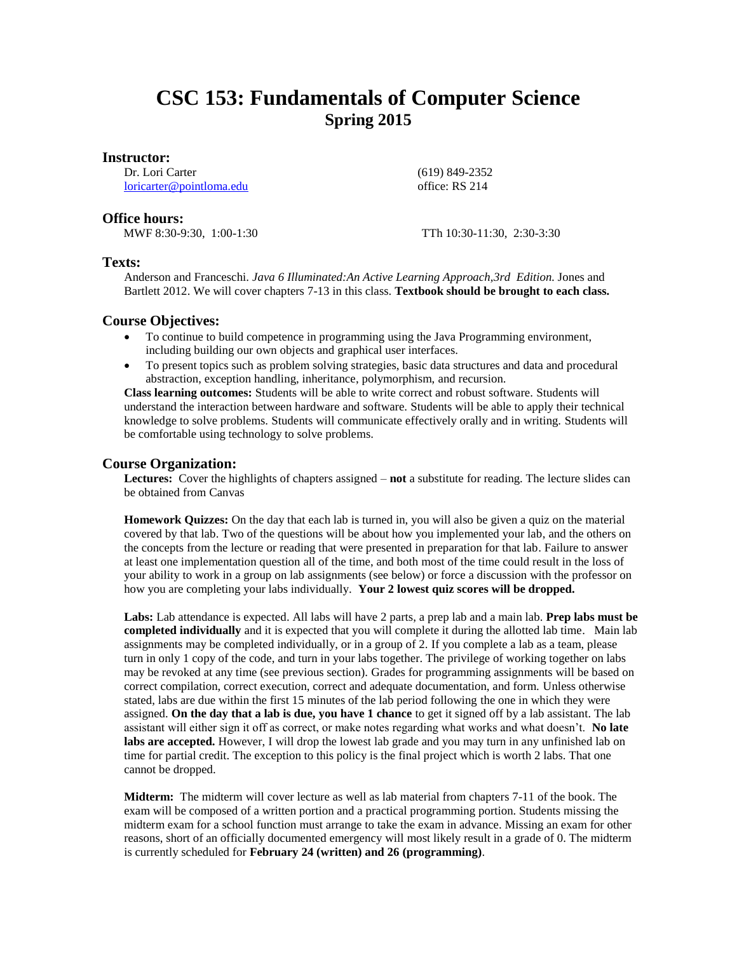# **CSC 153: Fundamentals of Computer Science Spring 2015**

#### **Instructor:**

Dr. Lori Carter [loricarter@pointloma.edu](mailto:loricarter@pointloma.edu)  (619) 849-2352 office: RS 214

## **Office hours:**

MWF 8:30-9:30, 1:00-1:30 TTh 10:30-11:30, 2:30-3:30

## **Texts:**

Anderson and Franceschi. *Java 6 Illuminated:An Active Learning Approach,3rd Edition.* Jones and Bartlett 2012. We will cover chapters 7-13 in this class. **Textbook should be brought to each class.**

### **Course Objectives:**

- To continue to build competence in programming using the Java Programming environment, including building our own objects and graphical user interfaces.
- To present topics such as problem solving strategies, basic data structures and data and procedural abstraction, exception handling, inheritance, polymorphism, and recursion.

**Class learning outcomes:** Students will be able to write correct and robust software. Students will understand the interaction between hardware and software. Students will be able to apply their technical knowledge to solve problems. Students will communicate effectively orally and in writing. Students will be comfortable using technology to solve problems.

## **Course Organization:**

**Lectures:** Cover the highlights of chapters assigned – **not** a substitute for reading. The lecture slides can be obtained from Canvas

**Homework Quizzes:** On the day that each lab is turned in, you will also be given a quiz on the material covered by that lab. Two of the questions will be about how you implemented your lab, and the others on the concepts from the lecture or reading that were presented in preparation for that lab. Failure to answer at least one implementation question all of the time, and both most of the time could result in the loss of your ability to work in a group on lab assignments (see below) or force a discussion with the professor on how you are completing your labs individually. **Your 2 lowest quiz scores will be dropped.**

**Labs:** Lab attendance is expected. All labs will have 2 parts, a prep lab and a main lab. **Prep labs must be completed individually** and it is expected that you will complete it during the allotted lab time. Main lab assignments may be completed individually, or in a group of 2. If you complete a lab as a team, please turn in only 1 copy of the code, and turn in your labs together. The privilege of working together on labs may be revoked at any time (see previous section). Grades for programming assignments will be based on correct compilation, correct execution, correct and adequate documentation, and form. Unless otherwise stated, labs are due within the first 15 minutes of the lab period following the one in which they were assigned. **On the day that a lab is due, you have 1 chance** to get it signed off by a lab assistant. The lab assistant will either sign it off as correct, or make notes regarding what works and what doesn't. **No late labs are accepted.** However, I will drop the lowest lab grade and you may turn in any unfinished lab on time for partial credit. The exception to this policy is the final project which is worth 2 labs. That one cannot be dropped.

**Midterm:** The midterm will cover lecture as well as lab material from chapters 7-11 of the book. The exam will be composed of a written portion and a practical programming portion. Students missing the midterm exam for a school function must arrange to take the exam in advance. Missing an exam for other reasons, short of an officially documented emergency will most likely result in a grade of 0. The midterm is currently scheduled for **February 24 (written) and 26 (programming)**.